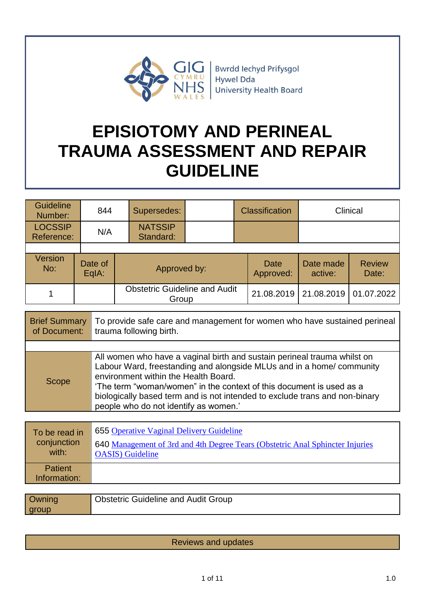

**Bwrdd lechyd Prifysgol** Hywel Dda University Health Board

# **EPISIOTOMY AND PERINEAL TRAUMA ASSESSMENT AND REPAIR GUIDELINE**

| <b>Guideline</b><br>Number:  | 844              | Supersedes:                                   |  | <b>Classification</b> |                      | Clinical               |
|------------------------------|------------------|-----------------------------------------------|--|-----------------------|----------------------|------------------------|
| <b>LOCSSIP</b><br>Reference: | N/A              | <b>NATSSIP</b><br>Standard:                   |  |                       |                      |                        |
|                              |                  |                                               |  |                       |                      |                        |
| <b>Version</b><br>No:        | Date of<br>EqIA: | Approved by:                                  |  | Date<br>Approved:     | Date made<br>active: | <b>Review</b><br>Date: |
|                              |                  | <b>Obstetric Guideline and Audit</b><br>Group |  | 21.08.2019            | 21.08.2019           | 01.07.2022             |

| <b>Brief Summary</b><br>of Document: | To provide safe care and management for women who have sustained perineal<br>trauma following birth.                                                                                                                                                                                                                                                                                     |
|--------------------------------------|------------------------------------------------------------------------------------------------------------------------------------------------------------------------------------------------------------------------------------------------------------------------------------------------------------------------------------------------------------------------------------------|
|                                      |                                                                                                                                                                                                                                                                                                                                                                                          |
| <b>Scope</b>                         | All women who have a vaginal birth and sustain perineal trauma whilst on<br>Labour Ward, freestanding and alongside MLUs and in a home/community<br>environment within the Health Board.<br>'The term "woman/women" in the context of this document is used as a<br>biologically based term and is not intended to exclude trans and non-binary<br>people who do not identify as women.' |

| To be read in  | 655 Operative Vaginal Delivery Guideline                                      |
|----------------|-------------------------------------------------------------------------------|
| conjunction    | 640 Management of 3rd and 4th Degree Tears (Obstetric Anal Sphincter Injuries |
| with:          | <b>OASIS</b> ) Guideline                                                      |
| <b>Patient</b> |                                                                               |
| Information:   |                                                                               |
|                |                                                                               |

| <b>Owning</b> | <b>Obstetric Guideline and Audit Group</b> |
|---------------|--------------------------------------------|
| group         |                                            |

Reviews and updates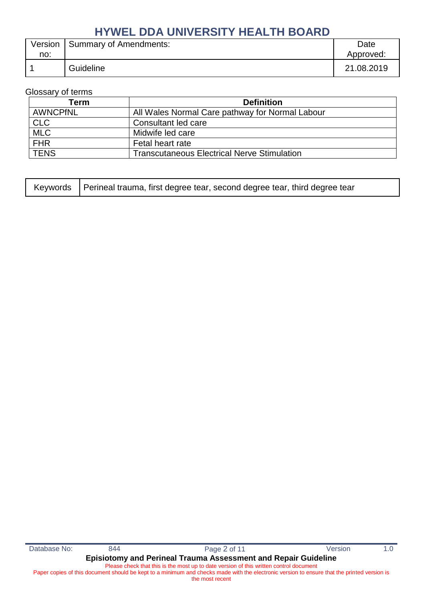| Version | <b>Summary of Amendments:</b> | Date       |
|---------|-------------------------------|------------|
| no:     |                               | Approved:  |
|         | Guideline                     | 21.08.2019 |

Glossary of terms

| Term            | <b>Definition</b>                                  |
|-----------------|----------------------------------------------------|
| <b>AWNCPfNL</b> | All Wales Normal Care pathway for Normal Labour    |
| <b>CLC</b>      | Consultant led care                                |
| <b>MLC</b>      | Midwife led care                                   |
| <b>FHR</b>      | Fetal heart rate                                   |
| <b>TENS</b>     | <b>Transcutaneous Electrical Nerve Stimulation</b> |

| Keywords   Perineal trauma, first degree tear, second degree tear, third degree tear |
|--------------------------------------------------------------------------------------|
|                                                                                      |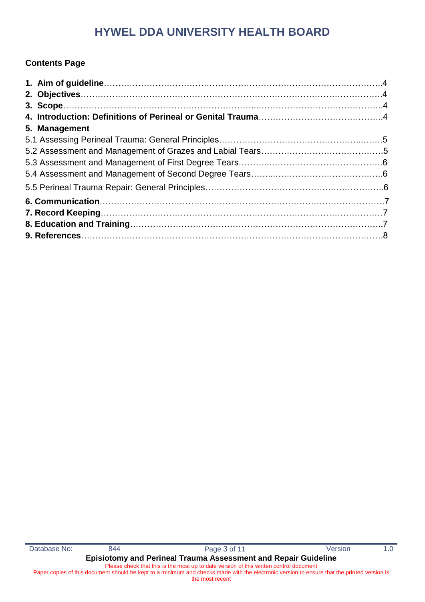### **Contents Page**

| 5. Management |  |
|---------------|--|
|               |  |
|               |  |
|               |  |
|               |  |
|               |  |
|               |  |
|               |  |
|               |  |
|               |  |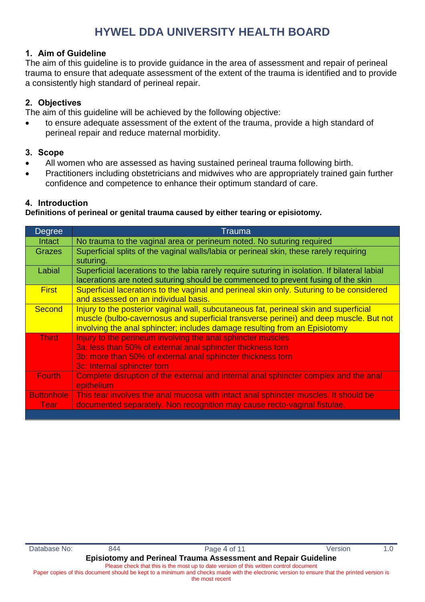#### **1. Aim of Guideline**

The aim of this guideline is to provide guidance in the area of assessment and repair of perineal trauma to ensure that adequate assessment of the extent of the trauma is identified and to provide a consistently high standard of perineal repair.

#### **2. Objectives**

The aim of this guideline will be achieved by the following objective:

 to ensure adequate assessment of the extent of the trauma, provide a high standard of perineal repair and reduce maternal morbidity.

#### **3. Scope**

- All women who are assessed as having sustained perineal trauma following birth.
- Practitioners including obstetricians and midwives who are appropriately trained gain further confidence and competence to enhance their optimum standard of care.

#### **4. Introduction**

**Definitions of perineal or genital trauma caused by either tearing or episiotomy.**

| Degree            | Trauma                                                                                                                                                                                                                                                       |
|-------------------|--------------------------------------------------------------------------------------------------------------------------------------------------------------------------------------------------------------------------------------------------------------|
| Intact            | No trauma to the vaginal area or perineum noted. No suturing required                                                                                                                                                                                        |
| <b>Grazes</b>     | Superficial splits of the vaginal walls/labia or perineal skin, these rarely requiring                                                                                                                                                                       |
|                   | suturing.                                                                                                                                                                                                                                                    |
| Labial            | Superficial lacerations to the labia rarely require suturing in isolation. If bilateral labial<br>lacerations are noted suturing should be commenced to prevent fusing of the skin                                                                           |
| <b>First</b>      | Superficial lacerations to the vaginal and perineal skin only. Suturing to be considered<br>and assessed on an individual basis.                                                                                                                             |
| <b>Second</b>     | Injury to the posterior vaginal wall, subcutaneous fat, perineal skin and superficial<br>muscle (bulbo-cavernosus and superficial transverse perinei) and deep muscle. But not<br>involving the anal sphincter; includes damage resulting from an Episiotomy |
| <b>Third</b>      | Injury to the perineum involving the anal sphincter muscles                                                                                                                                                                                                  |
|                   | 3a: less than 50% of external anal sphincter thickness torn                                                                                                                                                                                                  |
|                   | 3b: more than 50% of external anal sphincter thickness torn                                                                                                                                                                                                  |
|                   | 3c: Internal sphincter torn                                                                                                                                                                                                                                  |
| <b>Fourth</b>     | Complete disruption of the external and internal anal sphincter complex and the anal                                                                                                                                                                         |
|                   | epithelium                                                                                                                                                                                                                                                   |
| <b>Buttonhole</b> | This tear involves the anal mucosa with intact anal sphincter muscles. It should be                                                                                                                                                                          |
| <b>Tear</b>       | documented separately. Non recognition may cause recto-vaginal fistulae.                                                                                                                                                                                     |
|                   |                                                                                                                                                                                                                                                              |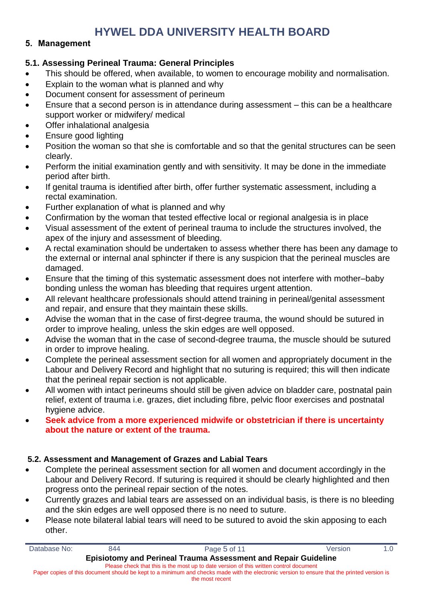#### **5. Management**

#### **5.1. Assessing Perineal Trauma: General Principles**

- This should be offered, when available, to women to encourage mobility and normalisation.
- Explain to the woman what is planned and why
- Document consent for assessment of perineum
- Ensure that a second person is in attendance during assessment this can be a healthcare support worker or midwifery/ medical
- Offer inhalational analgesia
- Ensure good lighting
- Position the woman so that she is comfortable and so that the genital structures can be seen clearly.
- Perform the initial examination gently and with sensitivity. It may be done in the immediate period after birth.
- If genital trauma is identified after birth, offer further systematic assessment, including a rectal examination.
- Further explanation of what is planned and why
- Confirmation by the woman that tested effective local or regional analgesia is in place
- Visual assessment of the extent of perineal trauma to include the structures involved, the apex of the injury and assessment of bleeding.
- A rectal examination should be undertaken to assess whether there has been any damage to the external or internal anal sphincter if there is any suspicion that the perineal muscles are damaged.
- Ensure that the timing of this systematic assessment does not interfere with mother–baby bonding unless the woman has bleeding that requires urgent attention.
- All relevant healthcare professionals should attend training in perineal/genital assessment and repair, and ensure that they maintain these skills.
- Advise the woman that in the case of first-degree trauma, the wound should be sutured in order to improve healing, unless the skin edges are well opposed.
- Advise the woman that in the case of second-degree trauma, the muscle should be sutured in order to improve healing.
- Complete the perineal assessment section for all women and appropriately document in the Labour and Delivery Record and highlight that no suturing is required; this will then indicate that the perineal repair section is not applicable.
- All women with intact perineums should still be given advice on bladder care, postnatal pain relief, extent of trauma i.e. grazes, diet including fibre, pelvic floor exercises and postnatal hygiene advice.
- **Seek advice from a more experienced midwife or obstetrician if there is uncertainty about the nature or extent of the trauma.**

#### **5.2. Assessment and Management of Grazes and Labial Tears**

- Complete the perineal assessment section for all women and document accordingly in the Labour and Delivery Record. If suturing is required it should be clearly highlighted and then progress onto the perineal repair section of the notes.
- Currently grazes and labial tears are assessed on an individual basis, is there is no bleeding and the skin edges are well opposed there is no need to suture.
- Please note bilateral labial tears will need to be sutured to avoid the skin apposing to each other.

| Database No:                                                                           | 844 | Page 5 of 11                                                                                                                                | <b>Version</b> | 1. $\Omega$ |
|----------------------------------------------------------------------------------------|-----|---------------------------------------------------------------------------------------------------------------------------------------------|----------------|-------------|
|                                                                                        |     | Episiotomy and Perineal Trauma Assessment and Repair Guideline                                                                              |                |             |
| Please check that this is the most up to date version of this written control document |     |                                                                                                                                             |                |             |
|                                                                                        |     | Paper copies of this document should be kept to a minimum and checks made with the electronic version to ensure that the printed version is |                |             |
| the most recent                                                                        |     |                                                                                                                                             |                |             |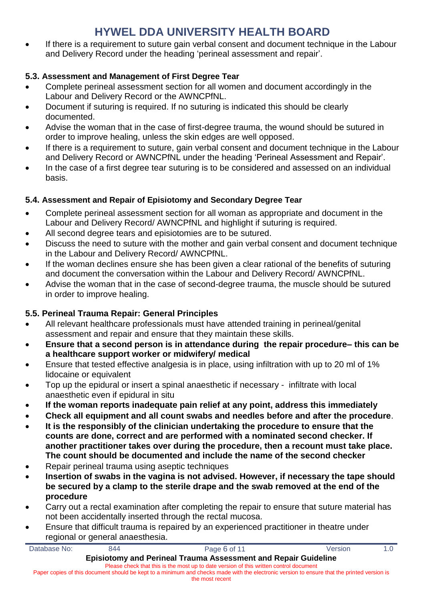If there is a requirement to suture gain verbal consent and document technique in the Labour and Delivery Record under the heading 'perineal assessment and repair'.

### **5.3. Assessment and Management of First Degree Tear**

- Complete perineal assessment section for all women and document accordingly in the Labour and Delivery Record or the AWNCPfNL.
- Document if suturing is required. If no suturing is indicated this should be clearly documented.
- Advise the woman that in the case of first-degree trauma, the wound should be sutured in order to improve healing, unless the skin edges are well opposed.
- If there is a requirement to suture, gain verbal consent and document technique in the Labour and Delivery Record or AWNCPfNL under the heading 'Perineal Assessment and Repair'.
- In the case of a first degree tear suturing is to be considered and assessed on an individual basis.

### **5.4. Assessment and Repair of Episiotomy and Secondary Degree Tear**

- Complete perineal assessment section for all woman as appropriate and document in the Labour and Delivery Record/ AWNCPfNL and highlight if suturing is required.
- All second degree tears and episiotomies are to be sutured.
- Discuss the need to suture with the mother and gain verbal consent and document technique in the Labour and Delivery Record/ AWNCPfNL.
- If the woman declines ensure she has been given a clear rational of the benefits of suturing and document the conversation within the Labour and Delivery Record/ AWNCPfNL.
- Advise the woman that in the case of second-degree trauma, the muscle should be sutured in order to improve healing.

### **5.5. Perineal Trauma Repair: General Principles**

- All relevant healthcare professionals must have attended training in perineal/genital assessment and repair and ensure that they maintain these skills.
- **Ensure that a second person is in attendance during the repair procedure– this can be a healthcare support worker or midwifery/ medical**
- Ensure that tested effective analgesia is in place, using infiltration with up to 20 ml of 1% lidocaine or equivalent
- Top up the epidural or insert a spinal anaesthetic if necessary infiltrate with local anaesthetic even if epidural in situ
- **If the woman reports inadequate pain relief at any point, address this immediately**
- **Check all equipment and all count swabs and needles before and after the procedure**.
- **It is the responsibly of the clinician undertaking the procedure to ensure that the counts are done, correct and are performed with a nominated second checker. If another practitioner takes over during the procedure, then a recount must take place. The count should be documented and include the name of the second checker**
- Repair perineal trauma using aseptic techniques
- **Insertion of swabs in the vagina is not advised. However, if necessary the tape should be secured by a clamp to the sterile drape and the swab removed at the end of the procedure**
- Carry out a rectal examination after completing the repair to ensure that suture material has not been accidentally inserted through the rectal mucosa.
- Ensure that difficult trauma is repaired by an experienced practitioner in theatre under regional or general anaesthesia.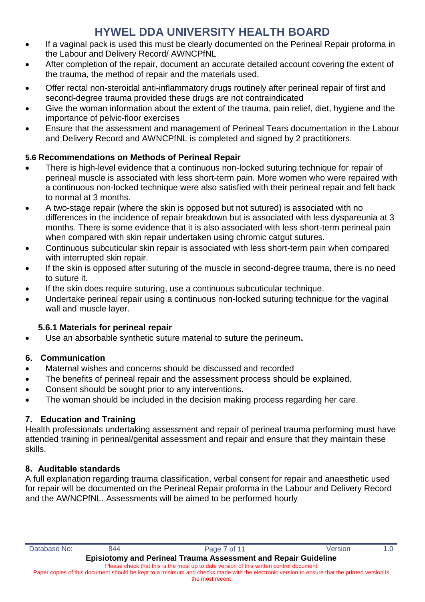- If a vaginal pack is used this must be clearly documented on the Perineal Repair proforma in the Labour and Delivery Record/ AWNCPfNL
- After completion of the repair, document an accurate detailed account covering the extent of the trauma, the method of repair and the materials used.
- Offer rectal non-steroidal anti-inflammatory drugs routinely after perineal repair of first and second-degree trauma provided these drugs are not contraindicated
- Give the woman information about the extent of the trauma, pain relief, diet, hygiene and the importance of pelvic-floor exercises
- Ensure that the assessment and management of Perineal Tears documentation in the Labour and Delivery Record and AWNCPfNL is completed and signed by 2 practitioners.

### **5.6 Recommendations on Methods of Perineal Repair**

- There is high-level evidence that a continuous non-locked suturing technique for repair of perineal muscle is associated with less short-term pain. More women who were repaired with a continuous non-locked technique were also satisfied with their perineal repair and felt back to normal at 3 months.
- A two-stage repair (where the skin is opposed but not sutured) is associated with no differences in the incidence of repair breakdown but is associated with less dyspareunia at 3 months. There is some evidence that it is also associated with less short-term perineal pain when compared with skin repair undertaken using chromic catgut sutures.
- Continuous subcuticular skin repair is associated with less short-term pain when compared with interrupted skin repair.
- If the skin is opposed after suturing of the muscle in second-degree trauma, there is no need to suture it.
- If the skin does require suturing, use a continuous subcuticular technique.
- Undertake perineal repair using a continuous non-locked suturing technique for the vaginal wall and muscle layer.

### **5.6.1 Materials for perineal repair**

Use an absorbable synthetic suture material to suture the perineum**.** 

### **6. Communication**

- Maternal wishes and concerns should be discussed and recorded
- The benefits of perineal repair and the assessment process should be explained.
- Consent should be sought prior to any interventions.
- The woman should be included in the decision making process regarding her care.

### **7. Education and Training**

Health professionals undertaking assessment and repair of perineal trauma performing must have attended training in perineal/genital assessment and repair and ensure that they maintain these skills.

### **8. Auditable standards**

A full explanation regarding trauma classification, verbal consent for repair and anaesthetic used for repair will be documented on the Perineal Repair proforma in the Labour and Delivery Record and the AWNCPfNL. Assessments will be aimed to be performed hourly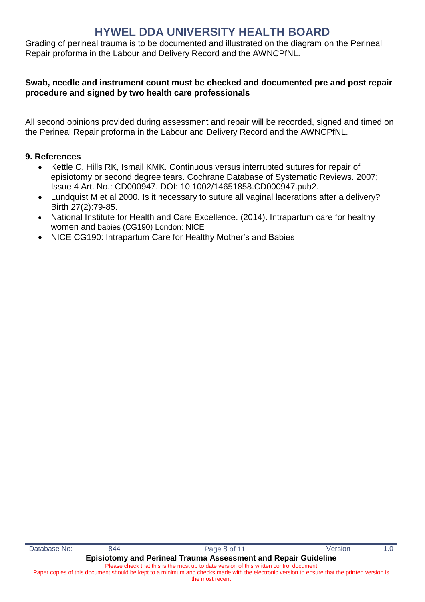Grading of perineal trauma is to be documented and illustrated on the diagram on the Perineal Repair proforma in the Labour and Delivery Record and the AWNCPfNL.

#### **Swab, needle and instrument count must be checked and documented pre and post repair procedure and signed by two health care professionals**

All second opinions provided during assessment and repair will be recorded, signed and timed on the Perineal Repair proforma in the Labour and Delivery Record and the AWNCPfNL.

#### **9. References**

- Kettle C, Hills RK, Ismail KMK. Continuous versus interrupted sutures for repair of episiotomy or second degree tears. Cochrane Database of Systematic Reviews. 2007; Issue 4 Art. No.: CD000947. DOI: 10.1002/14651858.CD000947.pub2.
- Lundquist M et al 2000. Is it necessary to suture all vaginal lacerations after a delivery? Birth 27(2):79-85.
- National Institute for Health and Care Excellence. (2014). Intrapartum care for healthy women and babies (CG190) London: NICE
- NICE CG190: Intrapartum Care for Healthy Mother's and Babies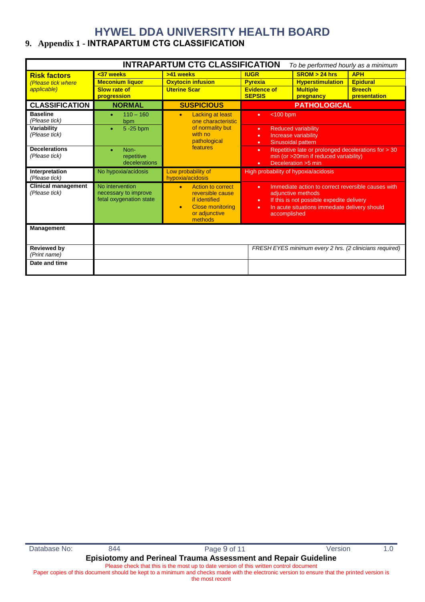### **9. Appendix 1 - INTRAPARTUM CTG CLASSIFICATION**

| <b>INTRAPARTUM CTG CLASSIFICATION</b><br>To be performed hourly as a minimum |                                                                    |                                                                                                                                                |                                                                                                                                         |                                                                                                                                                                        |                                                                |
|------------------------------------------------------------------------------|--------------------------------------------------------------------|------------------------------------------------------------------------------------------------------------------------------------------------|-----------------------------------------------------------------------------------------------------------------------------------------|------------------------------------------------------------------------------------------------------------------------------------------------------------------------|----------------------------------------------------------------|
| <b>Risk factors</b><br>(Please tick where<br>applicable)                     | <37 weeks<br><b>Meconium liquor</b><br>Slow rate of<br>progression | >41 weeks<br><b>Oxytocin infusion</b><br><b>Uterine Scar</b>                                                                                   | <b>IUGR</b><br><b>Pyrexia</b><br><b>Evidence of</b><br><b>SEPSIS</b>                                                                    | SROM > 24 hrs<br><b>Hyperstimulation</b><br><b>Multiple</b><br>pregnancy                                                                                               | <b>APH</b><br><b>Epidural</b><br><b>Breech</b><br>presentation |
| <b>CLASSIFICATION</b>                                                        | <b>NORMAL</b>                                                      | <b>SUSPICIOUS</b>                                                                                                                              |                                                                                                                                         | <b>PATHOLOGICAL</b>                                                                                                                                                    |                                                                |
| <b>Baseline</b><br>(Please tick)<br>Variability<br>(Please tick)             | $110 - 160$<br>bpm<br>5-25 bpm                                     | Lacking at least<br>$\bullet$<br>one characteristic<br>of normality but<br>with no<br>pathological                                             | $<$ 100 bpm<br>٠<br><b>Reduced variability</b><br>٠<br>Increase variability<br>٠<br>Sinusoidal pattern<br>٠                             |                                                                                                                                                                        |                                                                |
| <b>Decelerations</b><br>(Please tick)                                        | Non-<br>۰<br>repetitive<br>decelerations                           | features                                                                                                                                       | Repetitive late or prolonged decelerations for > 30<br>٠<br>min (or >20min if reduced variability)<br>Deceleration > 5 min<br>$\bullet$ |                                                                                                                                                                        |                                                                |
| Interpretation<br>(Please tick)                                              | No hypoxia/acidosis                                                | Low probability of<br>hypoxia/acidosis                                                                                                         | High probability of hypoxia/acidosis                                                                                                    |                                                                                                                                                                        |                                                                |
| <b>Clinical management</b><br>(Please tick)                                  | No intervention<br>necessary to improve<br>fetal oxygenation state | <b>Action to correct</b><br>$\bullet$<br>reversible cause<br>if identified<br><b>Close monitoring</b><br>$\bullet$<br>or adjunctive<br>methods | $\bullet$<br>٠<br>٠<br>accomplished                                                                                                     | Immediate action to correct reversible causes with<br>adjunctive methods<br>If this is not possible expedite delivery<br>In acute situations immediate delivery should |                                                                |
| <b>Management</b>                                                            |                                                                    |                                                                                                                                                |                                                                                                                                         |                                                                                                                                                                        |                                                                |
| <b>Reviewed by</b><br>(Print name)                                           |                                                                    |                                                                                                                                                |                                                                                                                                         | FRESH EYES minimum every 2 hrs. (2 clinicians required)                                                                                                                |                                                                |
| Date and time                                                                |                                                                    |                                                                                                                                                |                                                                                                                                         |                                                                                                                                                                        |                                                                |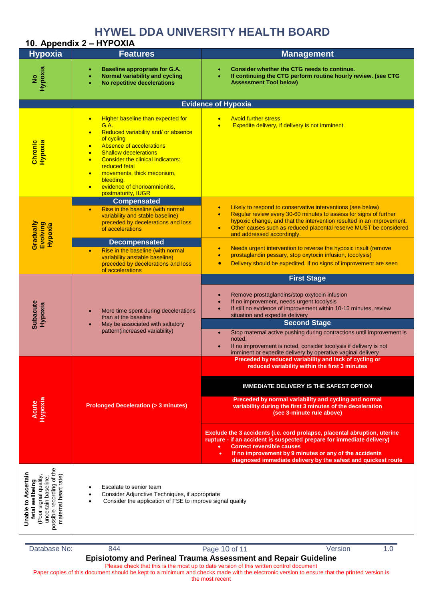|                                                                                                                                             | 10. Appendix 2 - HYPOXIA                                                                                                                                                                                                                                                                                                                                                                                                    |                                                                                                                                                                                                                                                                                                                                                                                                                                                                                                                                                                    |  |  |  |  |
|---------------------------------------------------------------------------------------------------------------------------------------------|-----------------------------------------------------------------------------------------------------------------------------------------------------------------------------------------------------------------------------------------------------------------------------------------------------------------------------------------------------------------------------------------------------------------------------|--------------------------------------------------------------------------------------------------------------------------------------------------------------------------------------------------------------------------------------------------------------------------------------------------------------------------------------------------------------------------------------------------------------------------------------------------------------------------------------------------------------------------------------------------------------------|--|--|--|--|
| <b>Hypoxia</b>                                                                                                                              | <b>Features</b>                                                                                                                                                                                                                                                                                                                                                                                                             | <b>Management</b>                                                                                                                                                                                                                                                                                                                                                                                                                                                                                                                                                  |  |  |  |  |
| Hypoxia<br>$\frac{1}{2}$                                                                                                                    | <b>Baseline appropriate for G.A.</b><br>۰<br>Normal variability and cycling<br>No repetitive decelerations                                                                                                                                                                                                                                                                                                                  | Consider whether the CTG needs to continue.<br>If continuing the CTG perform routine hourly review. (see CTG<br><b>Assessment Tool below)</b>                                                                                                                                                                                                                                                                                                                                                                                                                      |  |  |  |  |
|                                                                                                                                             | <b>Evidence of Hypoxia</b>                                                                                                                                                                                                                                                                                                                                                                                                  |                                                                                                                                                                                                                                                                                                                                                                                                                                                                                                                                                                    |  |  |  |  |
| Chronic<br>Hypoxia                                                                                                                          | Higher baseline than expected for<br>$\bullet$<br><b>G.A.</b><br>Reduced variability and/ or absence<br>$\bullet$<br>of cycling<br>Absence of accelerations<br>$\bullet$<br><b>Shallow decelerations</b><br>$\bullet$<br><b>Consider the clinical indicators:</b><br>$\bullet$<br>reduced fetal<br>movements, thick meconium,<br>$\bullet$<br>bleeding,<br>evidence of chorioamnionitis,<br>$\bullet$<br>postmaturity, IUGR | <b>Avoid further stress</b><br>Expedite delivery, if delivery is not imminent                                                                                                                                                                                                                                                                                                                                                                                                                                                                                      |  |  |  |  |
| Evolving<br>Hypoxia                                                                                                                         | <b>Compensated</b><br>Rise in the baseline (with normal<br>$\bullet$<br>variability and stable baseline)<br>preceded by decelerations and loss<br>of accelerations                                                                                                                                                                                                                                                          | Likely to respond to conservative interventions (see below)<br>Regular review every 30-60 minutes to assess for signs of further<br>hypoxic change, and that the intervention resulted in an improvement.<br>Other causes such as reduced placental reserve MUST be considered<br>and addressed accordingly.                                                                                                                                                                                                                                                       |  |  |  |  |
| Gradually                                                                                                                                   | <b>Decompensated</b><br>Rise in the baseline (with normal<br>$\bullet$<br>variability anstable baseline)<br>preceded by decelerations and loss<br>of accelerations                                                                                                                                                                                                                                                          | Needs urgent intervention to reverse the hypoxic insult (remove<br>$\bullet$<br>prostaglandin pessary, stop oxytocin infusion, tocolysis)<br>Delivery should be expedited, if no signs of improvement are seen                                                                                                                                                                                                                                                                                                                                                     |  |  |  |  |
| <b>Subacute</b><br>Hypoxia                                                                                                                  | More time spent during decelerations<br>$\bullet$<br>than at the baseline<br>May be associated with saltatory<br>$\bullet$<br>pattern(increased variability)                                                                                                                                                                                                                                                                | <b>First Stage</b><br>Remove prostaglandins/stop oxytocin infusion<br>If no improvement, needs urgent tocolysis<br>If still no evidence of improvement within 10-15 minutes, review<br>situation and expedite delivery<br><b>Second Stage</b><br>Stop maternal active pushing during contractions until improvement is<br>$\bullet$<br>noted.<br>If no improvement is noted, consider tocolysis if delivery is not<br>imminent or expedite delivery by operative vaginal delivery                                                                                  |  |  |  |  |
| <b>Hypoxia</b><br>Acute                                                                                                                     | <b>Prolonged Deceleration (&gt; 3 minutes)</b>                                                                                                                                                                                                                                                                                                                                                                              | Preceded by reduced variability and lack of cycling or<br>reduced variability within the first 3 minutes<br><b>IMMEDIATE DELIVERY IS THE SAFEST OPTION</b><br>Preceded by normal variability and cycling and normal<br>variability during the first 3 minutes of the deceleration<br>(see 3-minute rule above)<br>Exclude the 3 accidents (i.e. cord prolapse, placental abruption, uterine<br>rupture - if an accident is suspected prepare for immediate delivery)<br><b>Correct reversible causes</b><br>If no improvement by 9 minutes or any of the accidents |  |  |  |  |
| <b>Unable to Ascertain</b><br>maternal heart rate)<br>Poor signal quality<br>uncertain baseline<br>possible recording of<br>fetal wellbeing | diagnosed immediate delivery by the safest and quickest route<br>Escalate to senior team<br>Consider Adjunctive Techniques, if appropriate<br>Consider the application of FSE to improve signal quality                                                                                                                                                                                                                     |                                                                                                                                                                                                                                                                                                                                                                                                                                                                                                                                                                    |  |  |  |  |

Database No: 844 844 Page 10 of 11 Version 1.0

**Episiotomy and Perineal Trauma Assessment and Repair Guideline**  Please check that this is the most up to date version of this written control document

Paper copies of this document should be kept to a minimum and checks made with the electronic version to ensure that the printed version is the most recent